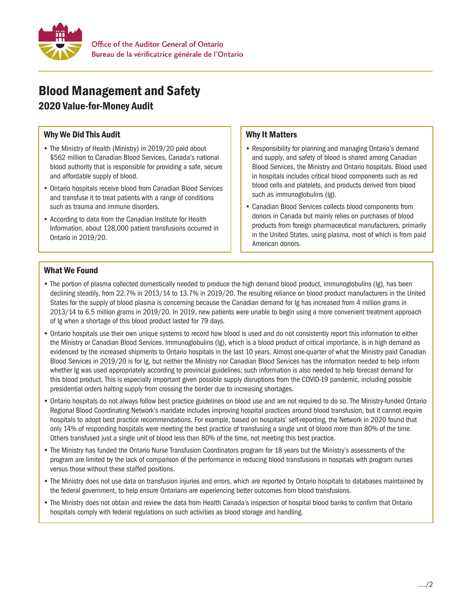

# Blood Management and Safety

## 2020 Value-for-Money Audit

#### Why We Did This Audit

- The Ministry of Health (Ministry) in 2019/20 paid about \$562 million to Canadian Blood Services, Canada's national blood authority that is responsible for providing a safe, secure and affordable supply of blood.
- Ontario hospitals receive blood from Canadian Blood Services and transfuse it to treat patients with a range of conditions such as trauma and immune disorders.
- According to data from the Canadian Institute for Health Information, about 128,000 patient transfusions occurred in Ontario in 2019/20.

### Why It Matters

- Responsibility for planning and managing Ontario's demand and supply, and safety of blood is shared among Canadian Blood Services, the Ministry and Ontario hospitals. Blood used in hospitals includes critical blood components such as red blood cells and platelets, and products derived from blood such as immunoglobulins (Ig).
- Canadian Blood Services collects blood components from donors in Canada but mainly relies on purchases of blood products from foreign pharmaceutical manufacturers, primarily in the United States, using plasma, most of which is from paid American donors.

#### What We Found

- The portion of plasma collected domestically needed to produce the high demand blood product, immunoglobulins (Ig), has been declining steadily, from 22.7% in 2013/14 to 13.7% in 2019/20. The resulting reliance on blood product manufacturers in the United States for the supply of blood plasma is concerning because the Canadian demand for Ig has increased from 4 million grams in 2013/14 to 6.5 million grams in 2019/20. In 2019, new patients were unable to begin using a more convenient treatment approach of Ig when a shortage of this blood product lasted for 79 days.
- Ontario hospitals use their own unique systems to record how blood is used and do not consistently report this information to either the Ministry or Canadian Blood Services. Immunoglobulins (Ig), which is a blood product of critical importance, is in high demand as evidenced by the increased shipments to Ontario hospitals in the last 10 years. Almost one-quarter of what the Ministry paid Canadian Blood Services in 2019/20 is for Ig, but neither the Ministry nor Canadian Blood Services has the information needed to help inform whether Ig was used appropriately according to provincial guidelines; such information is also needed to help forecast demand for this blood product. This is especially important given possible supply disruptions from the COVID-19 pandemic, including possible presidential orders halting supply from crossing the border due to increasing shortages.
- Ontario hospitals do not always follow best practice guidelines on blood use and are not required to do so. The Ministry-funded Ontario Regional Blood Coordinating Network's mandate includes improving hospital practices around blood transfusion, but it cannot require hospitals to adopt best practice recommendations. For example, based on hospitals' self-reporting, the Network in 2020 found that only 14% of responding hospitals were meeting the best practice of transfusing a single unit of blood more than 80% of the time. Others transfused just a single unit of blood less than 80% of the time, not meeting this best practice.
- The Ministry has funded the Ontario Nurse Transfusion Coordinators program for 18 years but the Ministry's assessments of the program are limited by the lack of comparison of the performance in reducing blood transfusions in hospitals with program nurses versus those without these staffed positions.
- The Ministry does not use data on transfusion injuries and errors, which are reported by Ontario hospitals to databases maintained by the federal government, to help ensure Ontarians are experiencing better outcomes from blood transfusions.
- • The Ministry does not obtain and review the data from Health Canada's inspection of hospital blood banks to confirm that Ontario hospitals comply with federal regulations on such activities as blood storage and handling.